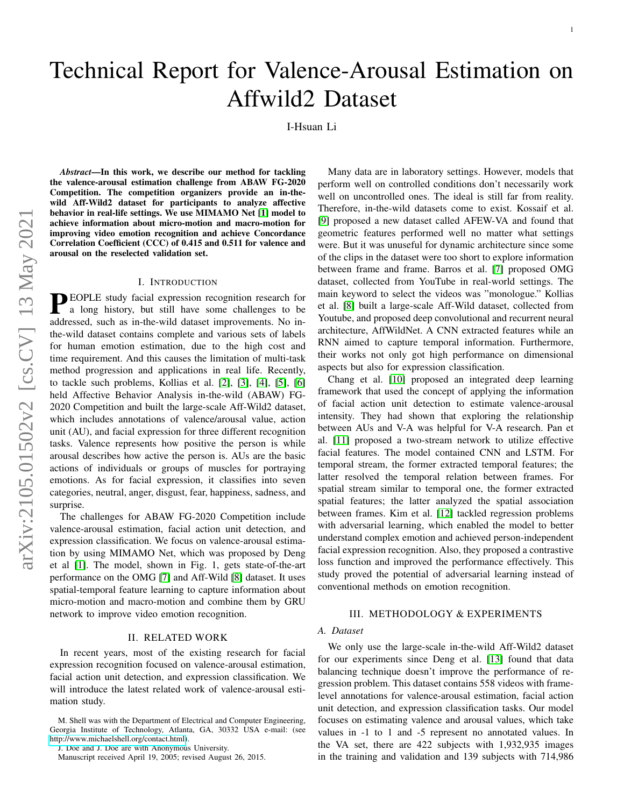# Technical Report for Valence-Arousal Estimation on Affwild2 Dataset

I-Hsuan Li

*Abstract*—In this work, we describe our method for tackling the valence-arousal estimation challenge from ABAW FG-2020 Competition. The competition organizers provide an in-thewild Aff-Wild2 dataset for participants to analyze affective behavior in real-life settings. We use MIMAMO Net [\[1\]](#page-1-0) model to achieve information about micro-motion and macro-motion for improving video emotion recognition and achieve Concordance Correlation Coefficient (CCC) of 0.415 and 0.511 for valence and arousal on the reselected validation set.

## I. INTRODUCTION

**PEOPLE** study facial expression recognition research for<br>a long history, but still have some challenges to be a long history, but still have some challenges to be addressed, such as in-the-wild dataset improvements. No inthe-wild dataset contains complete and various sets of labels for human emotion estimation, due to the high cost and time requirement. And this causes the limitation of multi-task method progression and applications in real life. Recently, to tackle such problems, Kollias et al. [\[2\]](#page-1-1), [\[3\]](#page-1-2), [\[4\]](#page-1-3), [\[5\]](#page-1-4), [\[6\]](#page-1-5) held Affective Behavior Analysis in-the-wild (ABAW) FG-2020 Competition and built the large-scale Aff-Wild2 dataset, which includes annotations of valence/arousal value, action unit (AU), and facial expression for three different recognition tasks. Valence represents how positive the person is while arousal describes how active the person is. AUs are the basic actions of individuals or groups of muscles for portraying emotions. As for facial expression, it classifies into seven categories, neutral, anger, disgust, fear, happiness, sadness, and surprise.

The challenges for ABAW FG-2020 Competition include valence-arousal estimation, facial action unit detection, and expression classification. We focus on valence-arousal estimation by using MIMAMO Net, which was proposed by Deng et al [\[1\]](#page-1-0). The model, shown in Fig. 1, gets state-of-the-art performance on the OMG [\[7\]](#page-2-0) and Aff-Wild [\[8\]](#page-2-1) dataset. It uses spatial-temporal feature learning to capture information about micro-motion and macro-motion and combine them by GRU network to improve video emotion recognition.

#### II. RELATED WORK

In recent years, most of the existing research for facial expression recognition focused on valence-arousal estimation, facial action unit detection, and expression classification. We will introduce the latest related work of valence-arousal estimation study.

M. Shell was with the Department of Electrical and Computer Engineering, Georgia Institute of Technology, Atlanta, GA, 30332 USA e-mail: (see [http://www.michaelshell.org/contact.html\)](http://www.michaelshell.org/contact.html).

J. Doe and J. Doe are with Anonymous University.

Manuscript received April 19, 2005; revised August 26, 2015.

Many data are in laboratory settings. However, models that perform well on controlled conditions don't necessarily work well on uncontrolled ones. The ideal is still far from reality. Therefore, in-the-wild datasets come to exist. Kossaif et al. [\[9\]](#page-2-2) proposed a new dataset called AFEW-VA and found that geometric features performed well no matter what settings were. But it was unuseful for dynamic architecture since some of the clips in the dataset were too short to explore information between frame and frame. Barros et al. [\[7\]](#page-2-0) proposed OMG dataset, collected from YouTube in real-world settings. The main keyword to select the videos was "monologue." Kollias et al. [\[8\]](#page-2-1) built a large-scale Aff-Wild dataset, collected from Youtube, and proposed deep convolutional and recurrent neural architecture, AffWildNet. A CNN extracted features while an RNN aimed to capture temporal information. Furthermore, their works not only got high performance on dimensional aspects but also for expression classification.

Chang et al. [\[10\]](#page-2-3) proposed an integrated deep learning framework that used the concept of applying the information of facial action unit detection to estimate valence-arousal intensity. They had shown that exploring the relationship between AUs and V-A was helpful for V-A research. Pan et al. [\[11\]](#page-2-4) proposed a two-stream network to utilize effective facial features. The model contained CNN and LSTM. For temporal stream, the former extracted temporal features; the latter resolved the temporal relation between frames. For spatial stream similar to temporal one, the former extracted spatial features; the latter analyzed the spatial association between frames. Kim et al. [\[12\]](#page-2-5) tackled regression problems with adversarial learning, which enabled the model to better understand complex emotion and achieved person-independent facial expression recognition. Also, they proposed a contrastive loss function and improved the performance effectively. This study proved the potential of adversarial learning instead of conventional methods on emotion recognition.

#### III. METHODOLOGY & EXPERIMENTS

#### *A. Dataset*

We only use the large-scale in-the-wild Aff-Wild2 dataset for our experiments since Deng et al. [\[13\]](#page-2-6) found that data balancing technique doesn't improve the performance of regression problem. This dataset contains 558 videos with framelevel annotations for valence-arousal estimation, facial action unit detection, and expression classification tasks. Our model focuses on estimating valence and arousal values, which take values in -1 to 1 and -5 represent no annotated values. In the VA set, there are 422 subjects with 1,932,935 images in the training and validation and 139 subjects with 714,986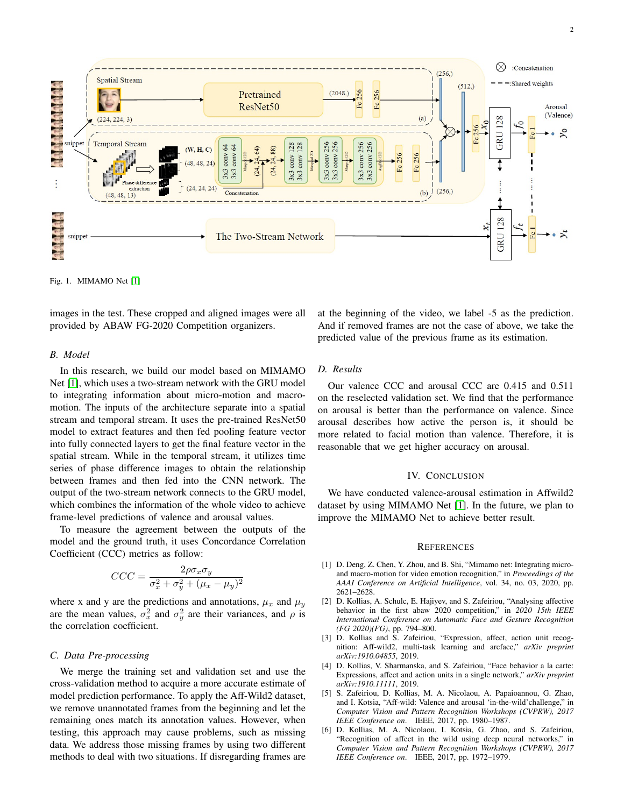

Fig. 1. MIMAMO Net [\[1\]](#page-1-0)

images in the test. These cropped and aligned images were all provided by ABAW FG-2020 Competition organizers.

## *B. Model*

In this research, we build our model based on MIMAMO Net [\[1\]](#page-1-0), which uses a two-stream network with the GRU model to integrating information about micro-motion and macromotion. The inputs of the architecture separate into a spatial stream and temporal stream. It uses the pre-trained ResNet50 model to extract features and then fed pooling feature vector into fully connected layers to get the final feature vector in the spatial stream. While in the temporal stream, it utilizes time series of phase difference images to obtain the relationship between frames and then fed into the CNN network. The output of the two-stream network connects to the GRU model, which combines the information of the whole video to achieve frame-level predictions of valence and arousal values.

To measure the agreement between the outputs of the model and the ground truth, it uses Concordance Correlation Coefficient (CCC) metrics as follow:

$$
CCC = \frac{2\rho\sigma_x\sigma_y}{\sigma_x^2 + \sigma_y^2 + (\mu_x - \mu_y)^2}
$$

where x and y are the predictions and annotations,  $\mu_x$  and  $\mu_y$ are the mean values,  $\sigma_x^2$  and  $\sigma_y^2$  are their variances, and  $\rho$  is the correlation coefficient.

## *C. Data Pre-processing*

We merge the training set and validation set and use the cross-validation method to acquire a more accurate estimate of model prediction performance. To apply the Aff-Wild2 dataset, we remove unannotated frames from the beginning and let the remaining ones match its annotation values. However, when testing, this approach may cause problems, such as missing data. We address those missing frames by using two different methods to deal with two situations. If disregarding frames are at the beginning of the video, we label -5 as the prediction. And if removed frames are not the case of above, we take the predicted value of the previous frame as its estimation.

## *D. Results*

Our valence CCC and arousal CCC are 0.415 and 0.511 on the reselected validation set. We find that the performance on arousal is better than the performance on valence. Since arousal describes how active the person is, it should be more related to facial motion than valence. Therefore, it is reasonable that we get higher accuracy on arousal.

#### IV. CONCLUSION

We have conducted valence-arousal estimation in Affwild2 dataset by using MIMAMO Net [\[1\]](#page-1-0). In the future, we plan to improve the MIMAMO Net to achieve better result.

#### **REFERENCES**

- <span id="page-1-0"></span>[1] D. Deng, Z. Chen, Y. Zhou, and B. Shi, "Mimamo net: Integrating microand macro-motion for video emotion recognition," in *Proceedings of the AAAI Conference on Artificial Intelligence*, vol. 34, no. 03, 2020, pp. 2621–2628.
- <span id="page-1-1"></span>[2] D. Kollias, A. Schulc, E. Hajiyev, and S. Zafeiriou, "Analysing affective behavior in the first abaw 2020 competition," in *2020 15th IEEE International Conference on Automatic Face and Gesture Recognition (FG 2020)(FG)*, pp. 794–800.
- <span id="page-1-2"></span>[3] D. Kollias and S. Zafeiriou, "Expression, affect, action unit recognition: Aff-wild2, multi-task learning and arcface," *arXiv preprint arXiv:1910.04855*, 2019.
- <span id="page-1-3"></span>[4] D. Kollias, V. Sharmanska, and S. Zafeiriou, "Face behavior a la carte: Expressions, affect and action units in a single network," *arXiv preprint arXiv:1910.11111*, 2019.
- <span id="page-1-4"></span>[5] S. Zafeiriou, D. Kollias, M. A. Nicolaou, A. Papaioannou, G. Zhao, and I. Kotsia, "Aff-wild: Valence and arousal 'in-the-wild'challenge," in *Computer Vision and Pattern Recognition Workshops (CVPRW), 2017 IEEE Conference on*. IEEE, 2017, pp. 1980–1987.
- <span id="page-1-5"></span>[6] D. Kollias, M. A. Nicolaou, I. Kotsia, G. Zhao, and S. Zafeiriou, "Recognition of affect in the wild using deep neural networks," in *Computer Vision and Pattern Recognition Workshops (CVPRW), 2017 IEEE Conference on*. IEEE, 2017, pp. 1972–1979.